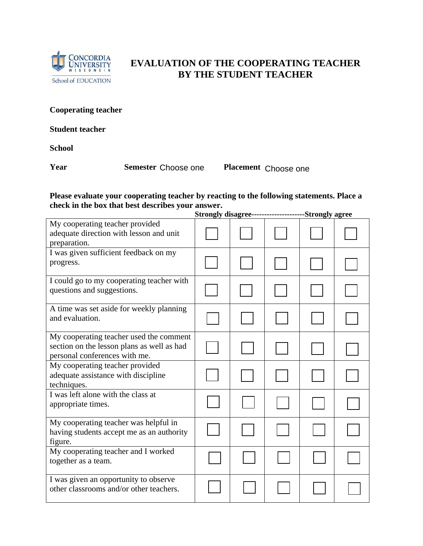

## **EVALUATION OF THE COOPERATING TEACHER BY THE STUDENT TEACHER**

**Cooperating teacher** 

**Student teacher** 

**School** 

**Year** Semester Choose one

Placement Choose one

## **Please evaluate your cooperating teacher by reacting to the following statements. Place a check in the box that best describes your answer.**

|                                                                                                                        |  |  | Strongly disagree---------------------Strongly agree |  |  |
|------------------------------------------------------------------------------------------------------------------------|--|--|------------------------------------------------------|--|--|
| My cooperating teacher provided<br>adequate direction with lesson and unit<br>preparation.                             |  |  |                                                      |  |  |
| I was given sufficient feedback on my<br>progress.                                                                     |  |  |                                                      |  |  |
| I could go to my cooperating teacher with<br>questions and suggestions.                                                |  |  |                                                      |  |  |
| A time was set aside for weekly planning<br>and evaluation.                                                            |  |  |                                                      |  |  |
| My cooperating teacher used the comment<br>section on the lesson plans as well as had<br>personal conferences with me. |  |  |                                                      |  |  |
| My cooperating teacher provided<br>adequate assistance with discipline<br>techniques.                                  |  |  |                                                      |  |  |
| I was left alone with the class at<br>appropriate times.                                                               |  |  |                                                      |  |  |
| My cooperating teacher was helpful in<br>having students accept me as an authority<br>figure.                          |  |  |                                                      |  |  |
| My cooperating teacher and I worked<br>together as a team.                                                             |  |  |                                                      |  |  |
| I was given an opportunity to observe<br>other classrooms and/or other teachers.                                       |  |  |                                                      |  |  |